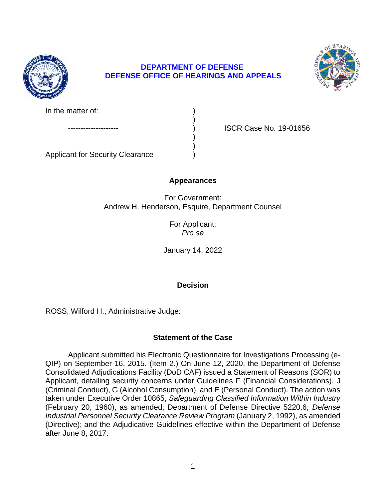

## **DEPARTMENT OF DEFENSE DEFENSE OFFICE OF HEARINGS AND APPEALS**

)

) )



In the matter of:

ISCR Case No. 19-01656

Applicant for Security Clearance )

# **Appearances**

For Government: Andrew H. Henderson, Esquire, Department Counsel

> For Applicant: *Pro se*

January 14, 2022

**\_\_\_\_\_\_\_\_\_\_\_\_\_\_ Decision** 

**\_\_\_\_\_\_\_\_\_\_\_\_\_\_** 

ROSS, Wilford H., Administrative Judge:

# **Statement of the Case**

 QIP) on September 16, 2015. (Item 2.) On June 12, 2020, the Department of Defense Consolidated Adjudications Facility (DoD CAF) issued a Statement of Reasons (SOR) to Applicant, detailing security concerns under Guidelines F (Financial Considerations), J (Criminal Conduct), G (Alcohol Consumption), and E (Personal Conduct). The action was  taken under Executive Order 10865, *Safeguarding Classified Information Within Industry*  (February 20, 1960), as amended; Department of Defense Directive 5220.6, *Defense*  Industrial Personnel Security Clearance Review Program (January 2, 1992), as amended (Directive); and the Adjudicative Guidelines effective within the Department of Defense Applicant submitted his Electronic Questionnaire for Investigations Processing (eafter June 8, 2017.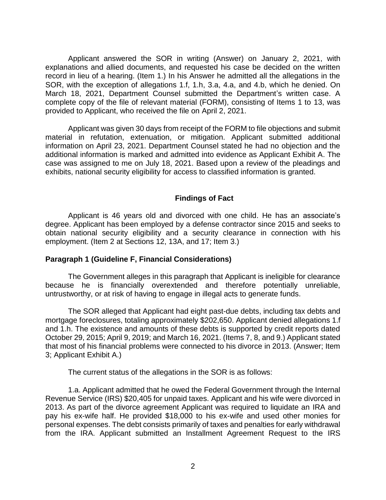Applicant answered the SOR in writing (Answer) on January 2, 2021, with explanations and allied documents, and requested his case be decided on the written record in lieu of a hearing. (Item 1.) In his Answer he admitted all the allegations in the SOR, with the exception of allegations 1.f, 1.h, 3.a, 4.a, and 4.b, which he denied. On March 18, 2021, Department Counsel submitted the Department's written case. A complete copy of the file of relevant material (FORM), consisting of Items 1 to 13, was provided to Applicant, who received the file on April 2, 2021.

 Applicant was given 30 days from receipt of the FORM to file objections and submit information on April 23, 2021. Department Counsel stated he had no objection and the additional information is marked and admitted into evidence as Applicant Exhibit A. The case was assigned to me on July 18, 2021. Based upon a review of the pleadings and material in refutation, extenuation, or mitigation. Applicant submitted additional exhibits, national security eligibility for access to classified information is granted.

### **Findings of Fact**

 Applicant is 46 years old and divorced with one child. He has an associate's degree. Applicant has been employed by a defense contractor since 2015 and seeks to obtain national security eligibility and a security clearance in connection with his employment. (Item 2 at Sections 12, 13A, and 17; Item 3.)

#### **Paragraph 1 (Guideline F, Financial Considerations)**

 The Government alleges in this paragraph that Applicant is ineligible for clearance because he is financially overextended and therefore potentially unreliable, untrustworthy, or at risk of having to engage in illegal acts to generate funds.

 The SOR alleged that Applicant had eight past-due debts, including tax debts and and 1.h. The existence and amounts of these debts is supported by credit reports dated October 29, 2015; April 9, 2019; and March 16, 2021. (Items 7, 8, and 9.) Applicant stated that most of his financial problems were connected to his divorce in 2013. (Answer; Item mortgage foreclosures, totaling approximately \$202,650. Applicant denied allegations 1.f 3; Applicant Exhibit A.)

The current status of the allegations in the SOR is as follows:

 1.a. Applicant admitted that he owed the Federal Government through the Internal Revenue Service (IRS) \$20,405 for unpaid taxes. Applicant and his wife were divorced in 2013. As part of the divorce agreement Applicant was required to liquidate an IRA and pay his ex-wife half. He provided \$18,000 to his ex-wife and used other monies for personal expenses. The debt consists primarily of taxes and penalties for early withdrawal from the IRA. Applicant submitted an Installment Agreement Request to the IRS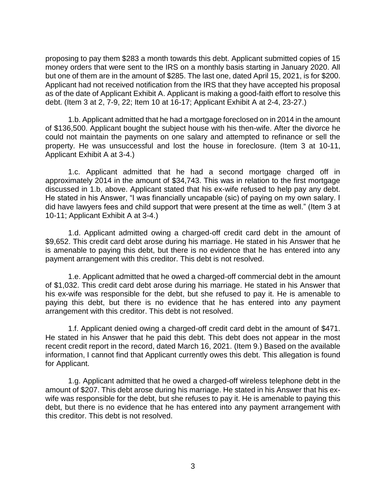proposing to pay them \$283 a month towards this debt. Applicant submitted copies of 15 money orders that were sent to the IRS on a monthly basis starting in January 2020. All but one of them are in the amount of \$285. The last one, dated April 15, 2021, is for \$200. Applicant had not received notification from the IRS that they have accepted his proposal as of the date of Applicant Exhibit A. Applicant is making a good-faith effort to resolve this debt. (Item 3 at 2, 7-9, 22; Item 10 at 16-17; Applicant Exhibit A at 2-4, 23-27.)

 1.b. Applicant admitted that he had a mortgage foreclosed on in 2014 in the amount of \$136,500. Applicant bought the subject house with his then-wife. After the divorce he could not maintain the payments on one salary and attempted to refinance or sell the property. He was unsuccessful and lost the house in foreclosure. (Item 3 at 10-11, Applicant Exhibit A at 3-4.)

 1.c. Applicant admitted that he had a second mortgage charged off in approximately 2014 in the amount of \$34,743. This was in relation to the first mortgage discussed in 1.b, above. Applicant stated that his ex-wife refused to help pay any debt. He stated in his Answer, "I was financially uncapable (sic) of paying on my own salary. I did have lawyers fees and child support that were present at the time as well." (Item 3 at 10-11; Applicant Exhibit A at 3-4.)

 1.d. Applicant admitted owing a charged-off credit card debt in the amount of \$9,652. This credit card debt arose during his marriage. He stated in his Answer that he is amenable to paying this debt, but there is no evidence that he has entered into any payment arrangement with this creditor. This debt is not resolved.

 1.e. Applicant admitted that he owed a charged-off commercial debt in the amount of \$1,032. This credit card debt arose during his marriage. He stated in his Answer that his ex-wife was responsible for the debt, but she refused to pay it. He is amenable to paying this debt, but there is no evidence that he has entered into any payment arrangement with this creditor. This debt is not resolved.

 1.f. Applicant denied owing a charged-off credit card debt in the amount of \$471. He stated in his Answer that he paid this debt. This debt does not appear in the most recent credit report in the record, dated March 16, 2021. (Item 9.) Based on the available information, I cannot find that Applicant currently owes this debt. This allegation is found for Applicant.

 1.g. Applicant admitted that he owed a charged-off wireless telephone debt in the amount of \$207. This debt arose during his marriage. He stated in his Answer that his ex- wife was responsible for the debt, but she refuses to pay it. He is amenable to paying this debt, but there is no evidence that he has entered into any payment arrangement with this creditor. This debt is not resolved.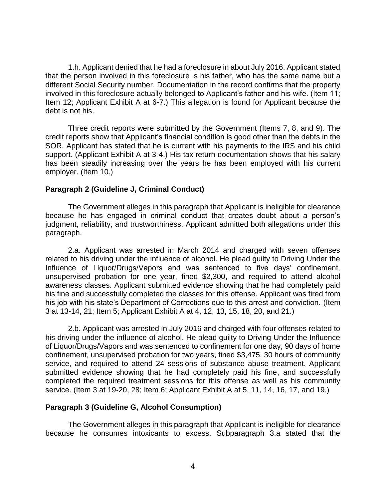1.h. Applicant denied that he had a foreclosure in about July 2016. Applicant stated that the person involved in this foreclosure is his father, who has the same name but a different Social Security number. Documentation in the record confirms that the property involved in this foreclosure actually belonged to Applicant's father and his wife. (Item 11; Item 12; Applicant Exhibit A at 6-7.) This allegation is found for Applicant because the debt is not his.

 Three credit reports were submitted by the Government (Items 7, 8, and 9). The credit reports show that Applicant's financial condition is good other than the debts in the SOR. Applicant has stated that he is current with his payments to the IRS and his child support. (Applicant Exhibit A at 3-4.) His tax return documentation shows that his salary has been steadily increasing over the years he has been employed with his current employer. (Item 10.)

#### **Paragraph 2 (Guideline J, Criminal Conduct)**

 The Government alleges in this paragraph that Applicant is ineligible for clearance because he has engaged in criminal conduct that creates doubt about a person's judgment, reliability, and trustworthiness. Applicant admitted both allegations under this paragraph.

2.a. Applicant was arrested in March 2014 and charged with seven offenses related to his driving under the influence of alcohol. He plead guilty to Driving Under the Influence of Liquor/Drugs/Vapors and was sentenced to five days' confinement, unsupervised probation for one year, fined \$2,300, and required to attend alcohol awareness classes. Applicant submitted evidence showing that he had completely paid his fine and successfully completed the classes for this offense. Applicant was fired from his job with his state's Department of Corrections due to this arrest and conviction. (Item 3 at 13-14, 21; Item 5; Applicant Exhibit A at 4, 12, 13, 15, 18, 20, and 21.)

2.b. Applicant was arrested in July 2016 and charged with four offenses related to his driving under the influence of alcohol. He plead guilty to Driving Under the Influence of Liquor/Drugs/Vapors and was sentenced to confinement for one day, 90 days of home confinement, unsupervised probation for two years, fined \$3,475, 30 hours of community service, and required to attend 24 sessions of substance abuse treatment. Applicant submitted evidence showing that he had completely paid his fine, and successfully completed the required treatment sessions for this offense as well as his community service. (Item 3 at 19-20, 28; Item 6; Applicant Exhibit A at 5, 11, 14, 16, 17, and 19.)

### **Paragraph 3 (Guideline G, Alcohol Consumption)**

 The Government alleges in this paragraph that Applicant is ineligible for clearance because he consumes intoxicants to excess. Subparagraph 3.a stated that the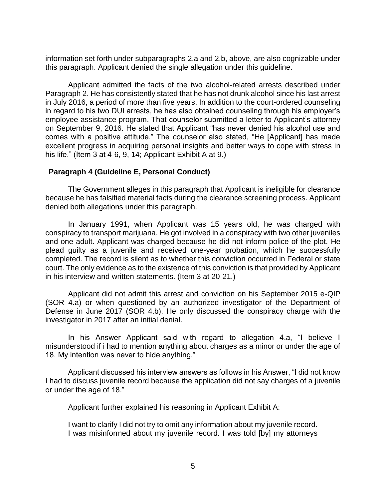information set forth under subparagraphs 2.a and 2.b, above, are also cognizable under this paragraph. Applicant denied the single allegation under this guideline.

 Applicant admitted the facts of the two alcohol-related arrests described under Paragraph 2. He has consistently stated that he has not drunk alcohol since his last arrest in July 2016, a period of more than five years. In addition to the court-ordered counseling employee assistance program. That counselor submitted a letter to Applicant's attorney on September 9, 2016. He stated that Applicant "has never denied his alcohol use and comes with a positive attitude." The counselor also stated, "He [Applicant] has made excellent progress in acquiring personal insights and better ways to cope with stress in in regard to his two DUI arrests, he has also obtained counseling through his employer's his life." (Item 3 at 4-6, 9, 14; Applicant Exhibit A at 9.)

### **Paragraph 4 (Guideline E, Personal Conduct)**

 The Government alleges in this paragraph that Applicant is ineligible for clearance because he has falsified material facts during the clearance screening process. Applicant denied both allegations under this paragraph.

 In January 1991, when Applicant was 15 years old, he was charged with conspiracy to transport marijuana. He got involved in a conspiracy with two other juveniles and one adult. Applicant was charged because he did not inform police of the plot. He plead guilty as a juvenile and received one-year probation, which he successfully court. The only evidence as to the existence of this conviction is that provided by Applicant completed. The record is silent as to whether this conviction occurred in Federal or state in his interview and written statements. (Item 3 at 20-21.)

 Applicant did not admit this arrest and conviction on his September 2015 e-QIP (SOR 4.a) or when questioned by an authorized investigator of the Department of Defense in June 2017 (SOR 4.b). He only discussed the conspiracy charge with the investigator in 2017 after an initial denial.

In his Answer Applicant said with regard to allegation 4.a, "I believe I misunderstood if i had to mention anything about charges as a minor or under the age of 18. My intention was never to hide anything."

Applicant discussed his interview answers as follows in his Answer, "I did not know I had to discuss juvenile record because the application did not say charges of a juvenile or under the age of 18."

Applicant further explained his reasoning in Applicant Exhibit A:

 I want to clarify I did not try to omit any information about my juvenile record. I was misinformed about my juvenile record. I was told [by] my attorneys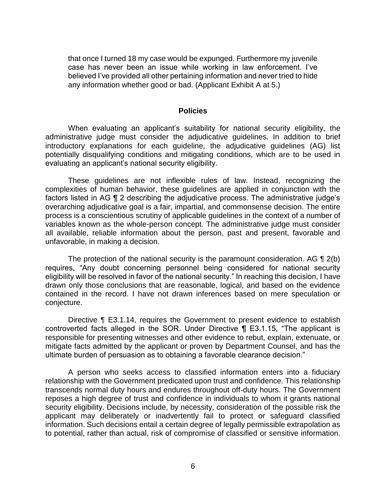that once I turned 18 my case would be expunged. Furthermore my juvenile case has never been an issue while working in law enforcement. I've believed I've provided all other pertaining information and never tried to hide any information whether good or bad. (Applicant Exhibit A at 5.)

#### **Policies**

 When evaluating an applicant's suitability for national security eligibility, the administrative judge must consider the adjudicative guidelines. In addition to brief potentially disqualifying conditions and mitigating conditions, which are to be used in introductory explanations for each guideline, the adjudicative guidelines (AG) list evaluating an applicant's national security eligibility.

 These guidelines are not inflexible rules of law. Instead, recognizing the complexities of human behavior, these guidelines are applied in conjunction with the factors listed in AG ¶ 2 describing the adjudicative process. The administrative judge's overarching adjudicative goal is a fair, impartial, and commonsense decision. The entire variables known as the whole-person concept. The administrative judge must consider all available, reliable information about the person, past and present, favorable and process is a conscientious scrutiny of applicable guidelines in the context of a number of unfavorable, in making a decision.

The protection of the national security is the paramount consideration. AG  $\P$  2(b) requires, "Any doubt concerning personnel being considered for national security eligibility will be resolved in favor of the national security." In reaching this decision, I have drawn only those conclusions that are reasonable, logical, and based on the evidence contained in the record. I have not drawn inferences based on mere speculation or conjecture.

Directive ¶ E3.1.14, requires the Government to present evidence to establish controverted facts alleged in the SOR. Under Directive ¶ E3.1.15, "The applicant is responsible for presenting witnesses and other evidence to rebut, explain, extenuate, or mitigate facts admitted by the applicant or proven by Department Counsel, and has the ultimate burden of persuasion as to obtaining a favorable clearance decision."

 A person who seeks access to classified information enters into a fiduciary relationship with the Government predicated upon trust and confidence. This relationship transcends normal duty hours and endures throughout off-duty hours. The Government reposes a high degree of trust and confidence in individuals to whom it grants national security eligibility. Decisions include, by necessity, consideration of the possible risk the applicant may deliberately or inadvertently fail to protect or safeguard classified information. Such decisions entail a certain degree of legally permissible extrapolation as to potential, rather than actual, risk of compromise of classified or sensitive information.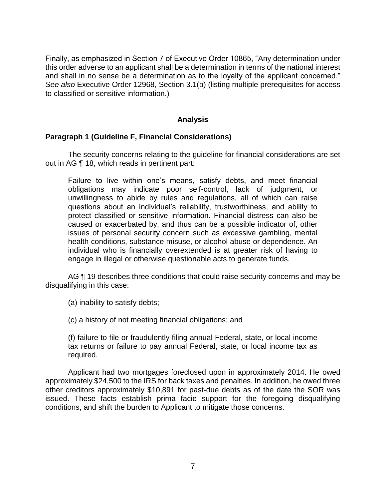Finally, as emphasized in Section 7 of Executive Order 10865, "Any determination under this order adverse to an applicant shall be a determination in terms of the national interest and shall in no sense be a determination as to the loyalty of the applicant concerned." *See also* Executive Order 12968, Section 3.1(b) (listing multiple prerequisites for access to classified or sensitive information.)

### **Analysis**

#### **Paragraph 1 (Guideline F, Financial Considerations)**

 The security concerns relating to the guideline for financial considerations are set out in AG ¶ 18, which reads in pertinent part:

Failure to live within one's means, satisfy debts, and meet financial obligations may indicate poor self-control, lack of judgment, or unwillingness to abide by rules and regulations, all of which can raise questions about an individual's reliability, trustworthiness, and ability to protect classified or sensitive information. Financial distress can also be caused or exacerbated by, and thus can be a possible indicator of, other issues of personal security concern such as excessive gambling, mental health conditions, substance misuse, or alcohol abuse or dependence. An individual who is financially overextended is at greater risk of having to engage in illegal or otherwise questionable acts to generate funds.

AG ¶ 19 describes three conditions that could raise security concerns and may be disqualifying in this case:

(a) inability to satisfy debts;

(c) a history of not meeting financial obligations; and

 (f) failure to file or fraudulently filing annual Federal, state, or local income tax returns or failure to pay annual Federal, state, or local income tax as required.

 Applicant had two mortgages foreclosed upon in approximately 2014. He owed approximately \$24,500 to the IRS for back taxes and penalties. In addition, he owed three other creditors approximately \$10,891 for past-due debts as of the date the SOR was issued. These facts establish prima facie support for the foregoing disqualifying conditions, and shift the burden to Applicant to mitigate those concerns.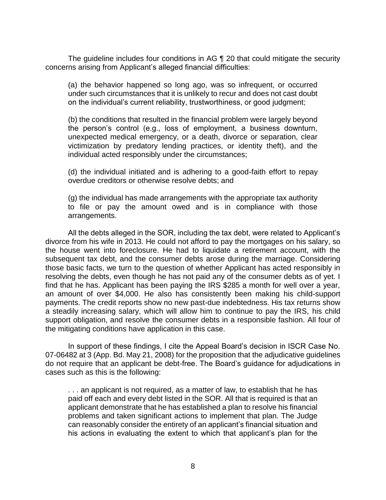The guideline includes four conditions in AG ¶ 20 that could mitigate the security concerns arising from Applicant's alleged financial difficulties:

 (a) the behavior happened so long ago, was so infrequent, or occurred under such circumstances that it is unlikely to recur and does not cast doubt on the individual's current reliability, trustworthiness, or good judgment;

(b) the conditions that resulted in the financial problem were largely beyond the person's control (e.g., loss of employment, a business downturn, unexpected medical emergency, or a death, divorce or separation, clear victimization by predatory lending practices, or identity theft), and the individual acted responsibly under the circumstances;

(d) the individual initiated and is adhering to a good-faith effort to repay overdue creditors or otherwise resolve debts; and

(g) the individual has made arrangements with the appropriate tax authority to file or pay the amount owed and is in compliance with those arrangements.

All the debts alleged in the SOR, including the tax debt, were related to Applicant's divorce from his wife in 2013. He could not afford to pay the mortgages on his salary, so the house went into foreclosure. He had to liquidate a retirement account, with the subsequent tax debt, and the consumer debts arose during the marriage. Considering those basic facts, we turn to the question of whether Applicant has acted responsibly in resolving the debts, even though he has not paid any of the consumer debts as of yet. I find that he has. Applicant has been paying the IRS \$285 a month for well over a year, an amount of over \$4,000. He also has consistently been making his child-support payments. The credit reports show no new past-due indebtedness. His tax returns show a steadily increasing salary, which will allow him to continue to pay the IRS, his child support obligation, and resolve the consumer debts in a responsible fashion. All four of the mitigating conditions have application in this case.

In support of these findings, I cite the Appeal Board's decision in ISCR Case No. 07-06482 at 3 (App. Bd. May 21, 2008) for the proposition that the adjudicative guidelines do not require that an applicant be debt-free. The Board's guidance for adjudications in cases such as this is the following:

 paid off each and every debt listed in the SOR. All that is required is that an applicant demonstrate that he has established a plan to resolve his financial problems and taken significant actions to implement that plan. The Judge can reasonably consider the entirety of an applicant's financial situation and his actions in evaluating the extent to which that applicant's plan for the . . . an applicant is not required, as a matter of law, to establish that he has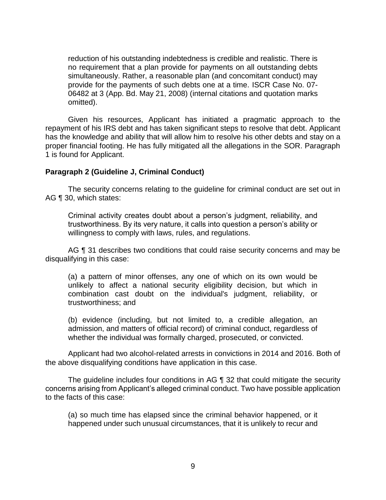reduction of his outstanding indebtedness is credible and realistic. There is no requirement that a plan provide for payments on all outstanding debts simultaneously. Rather, a reasonable plan (and concomitant conduct) may provide for the payments of such debts one at a time. ISCR Case No. 07- 06482 at 3 (App. Bd. May 21, 2008) (internal citations and quotation marks omitted).

 Given his resources, Applicant has initiated a pragmatic approach to the has the knowledge and ability that will allow him to resolve his other debts and stay on a proper financial footing. He has fully mitigated all the allegations in the SOR. Paragraph repayment of his IRS debt and has taken significant steps to resolve that debt. Applicant 1 is found for Applicant.

#### **Paragraph 2 (Guideline J, Criminal Conduct)**

 The security concerns relating to the guideline for criminal conduct are set out in AG ¶ 30, which states:

Criminal activity creates doubt about a person's judgment, reliability, and trustworthiness. By its very nature, it calls into question a person's ability or willingness to comply with laws, rules, and regulations.

AG ¶ 31 describes two conditions that could raise security concerns and may be disqualifying in this case:

(a) a pattern of minor offenses, any one of which on its own would be unlikely to affect a national security eligibility decision, but which in combination cast doubt on the individual's judgment, reliability, or trustworthiness; and

 (b) evidence (including, but not limited to, a credible allegation, an admission, and matters of official record) of criminal conduct, regardless of whether the individual was formally charged, prosecuted, or convicted.

 Applicant had two alcohol-related arrests in convictions in 2014 and 2016. Both of the above disqualifying conditions have application in this case.

 The guideline includes four conditions in AG ¶ 32 that could mitigate the security concerns arising from Applicant's alleged criminal conduct. Two have possible application to the facts of this case:

 (a) so much time has elapsed since the criminal behavior happened, or it happened under such unusual circumstances, that it is unlikely to recur and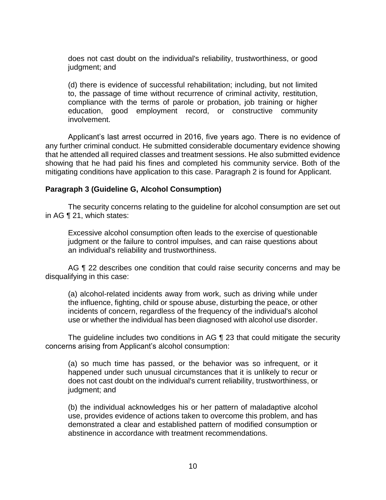does not cast doubt on the individual's reliability, trustworthiness, or good judgment; and

 (d) there is evidence of successful rehabilitation; including, but not limited to, the passage of time without recurrence of criminal activity, restitution, compliance with the terms of parole or probation, job training or higher education, good employment record, or constructive community involvement.

Applicant's last arrest occurred in 2016, five years ago. There is no evidence of any further criminal conduct. He submitted considerable documentary evidence showing that he attended all required classes and treatment sessions. He also submitted evidence showing that he had paid his fines and completed his community service. Both of the mitigating conditions have application to this case. Paragraph 2 is found for Applicant.

### **Paragraph 3 (Guideline G, Alcohol Consumption)**

 The security concerns relating to the guideline for alcohol consumption are set out in AG ¶ 21, which states:

Excessive alcohol consumption often leads to the exercise of questionable judgment or the failure to control impulses, and can raise questions about an individual's reliability and trustworthiness.

AG ¶ 22 describes one condition that could raise security concerns and may be disqualifying in this case:

 (a) alcohol-related incidents away from work, such as driving while under the influence, fighting, child or spouse abuse, disturbing the peace, or other incidents of concern, regardless of the frequency of the individual's alcohol use or whether the individual has been diagnosed with alcohol use disorder.

 The guideline includes two conditions in AG ¶ 23 that could mitigate the security concerns arising from Applicant's alcohol consumption:

(a) so much time has passed, or the behavior was so infrequent, or it happened under such unusual circumstances that it is unlikely to recur or does not cast doubt on the individual's current reliability, trustworthiness, or judgment; and

 (b) the individual acknowledges his or her pattern of maladaptive alcohol use, provides evidence of actions taken to overcome this problem, and has demonstrated a clear and established pattern of modified consumption or abstinence in accordance with treatment recommendations.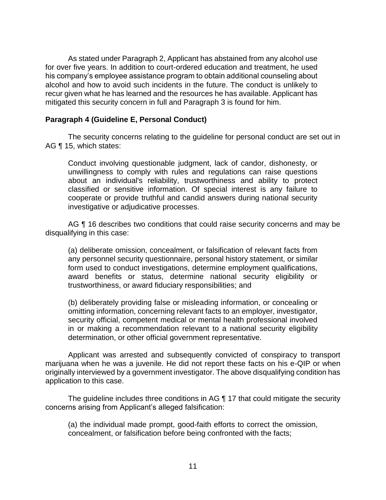As stated under Paragraph 2, Applicant has abstained from any alcohol use for over five years. In addition to court-ordered education and treatment, he used his company's employee assistance program to obtain additional counseling about alcohol and how to avoid such incidents in the future. The conduct is unlikely to recur given what he has learned and the resources he has available. Applicant has mitigated this security concern in full and Paragraph 3 is found for him.

#### **Paragraph 4 (Guideline E, Personal Conduct)**

 The security concerns relating to the guideline for personal conduct are set out in AG ¶ 15, which states:

Conduct involving questionable judgment, lack of candor, dishonesty, or unwillingness to comply with rules and regulations can raise questions about an individual's reliability, trustworthiness and ability to protect classified or sensitive information. Of special interest is any failure to cooperate or provide truthful and candid answers during national security investigative or adjudicative processes.

AG ¶ 16 describes two conditions that could raise security concerns and may be disqualifying in this case:

(a) deliberate omission, concealment, or falsification of relevant facts from any personnel security questionnaire, personal history statement, or similar form used to conduct investigations, determine employment qualifications, award benefits or status, determine national security eligibility or trustworthiness, or award fiduciary responsibilities; and

 (b) deliberately providing false or misleading information, or concealing or omitting information, concerning relevant facts to an employer, investigator, security official, competent medical or mental health professional involved in or making a recommendation relevant to a national security eligibility determination, or other official government representative.

 Applicant was arrested and subsequently convicted of conspiracy to transport marijuana when he was a juvenile. He did not report these facts on his e-QIP or when originally interviewed by a government investigator. The above disqualifying condition has application to this case.

 The guideline includes three conditions in AG ¶ 17 that could mitigate the security concerns arising from Applicant's alleged falsification:

 (a) the individual made prompt, good-faith efforts to correct the omission, concealment, or falsification before being confronted with the facts;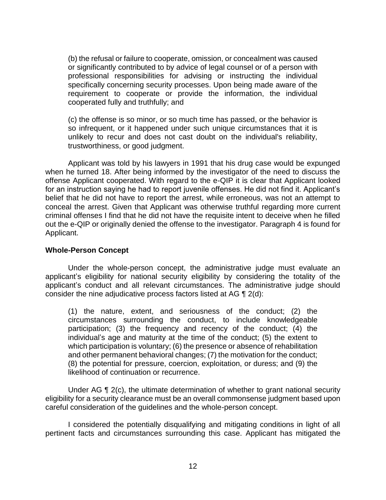(b) the refusal or failure to cooperate, omission, or concealment was caused or significantly contributed to by advice of legal counsel or of a person with professional responsibilities for advising or instructing the individual specifically concerning security processes. Upon being made aware of the requirement to cooperate or provide the information, the individual cooperated fully and truthfully; and

 (c) the offense is so minor, or so much time has passed, or the behavior is so infrequent, or it happened under such unique circumstances that it is unlikely to recur and does not cast doubt on the individual's reliability, trustworthiness, or good judgment.

 Applicant was told by his lawyers in 1991 that his drug case would be expunged when he turned 18. After being informed by the investigator of the need to discuss the offense Applicant cooperated. With regard to the e-QIP it is clear that Applicant looked for an instruction saying he had to report juvenile offenses. He did not find it. Applicant's belief that he did not have to report the arrest, while erroneous, was not an attempt to criminal offenses I find that he did not have the requisite intent to deceive when he filled out the e-QIP or originally denied the offense to the investigator. Paragraph 4 is found for conceal the arrest. Given that Applicant was otherwise truthful regarding more current Applicant.

#### **Whole-Person Concept**

 Under the whole-person concept, the administrative judge must evaluate an applicant's eligibility for national security eligibility by considering the totality of the applicant's conduct and all relevant circumstances. The administrative judge should consider the nine adjudicative process factors listed at AG ¶ 2(d):

 (1) the nature, extent, and seriousness of the conduct; (2) the circumstances surrounding the conduct, to include knowledgeable participation; (3) the frequency and recency of the conduct; (4) the individual's age and maturity at the time of the conduct; (5) the extent to which participation is voluntary; (6) the presence or absence of rehabilitation and other permanent behavioral changes; (7) the motivation for the conduct; (8) the potential for pressure, coercion, exploitation, or duress; and (9) the likelihood of continuation or recurrence.

Under AG ¶ 2(c), the ultimate determination of whether to grant national security eligibility for a security clearance must be an overall commonsense judgment based upon careful consideration of the guidelines and the whole-person concept.

 I considered the potentially disqualifying and mitigating conditions in light of all pertinent facts and circumstances surrounding this case. Applicant has mitigated the